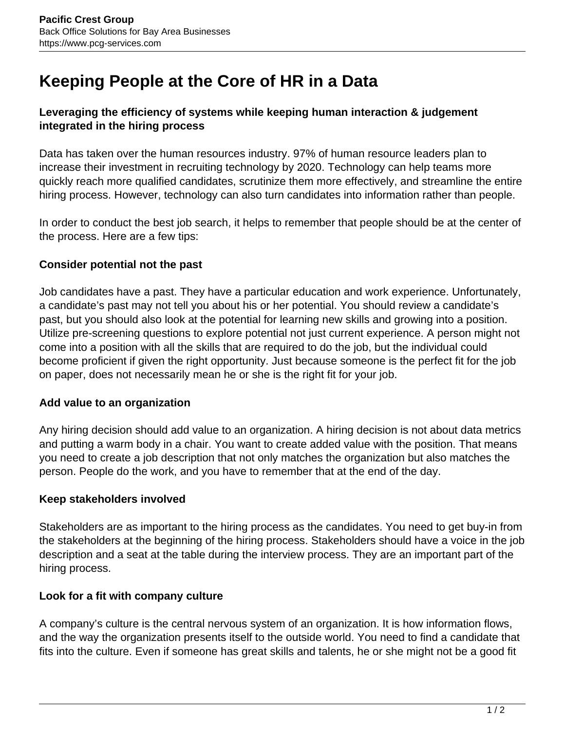# **Keeping People at the Core of HR in a Data**

## **Leveraging the efficiency of systems while keeping human interaction & judgement integrated in the hiring process**

Data has taken over the human resources industry. 97% of human resource leaders plan to increase their investment in recruiting technology by 2020. Technology can help teams more quickly reach more qualified candidates, scrutinize them more effectively, and streamline the entire hiring process. However, technology can also turn candidates into information rather than people.

In order to conduct the best job search, it helps to remember that people should be at the center of the process. Here are a few tips:

## **Consider potential not the past**

Job candidates have a past. They have a particular education and work experience. Unfortunately, a candidate's past may not tell you about his or her potential. You should review a candidate's past, but you should also look at the potential for learning new skills and growing into a position. Utilize pre-screening questions to explore potential not just current experience. A person might not come into a position with all the skills that are required to do the job, but the individual could become proficient if given the right opportunity. Just because someone is the perfect fit for the job on paper, does not necessarily mean he or she is the right fit for your job.

#### **Add value to an organization**

Any hiring decision should add value to an organization. A hiring decision is not about data metrics and putting a warm body in a chair. You want to create added value with the position. That means you need to create a job description that not only matches the organization but also matches the person. People do the work, and you have to remember that at the end of the day.

#### **Keep stakeholders involved**

Stakeholders are as important to the hiring process as the candidates. You need to get buy-in from the stakeholders at the beginning of the hiring process. Stakeholders should have a voice in the job description and a seat at the table during the interview process. They are an important part of the hiring process.

#### **Look for a fit with company culture**

A company's culture is the central nervous system of an organization. It is how information flows, and the way the organization presents itself to the outside world. You need to find a candidate that fits into the culture. Even if someone has great skills and talents, he or she might not be a good fit